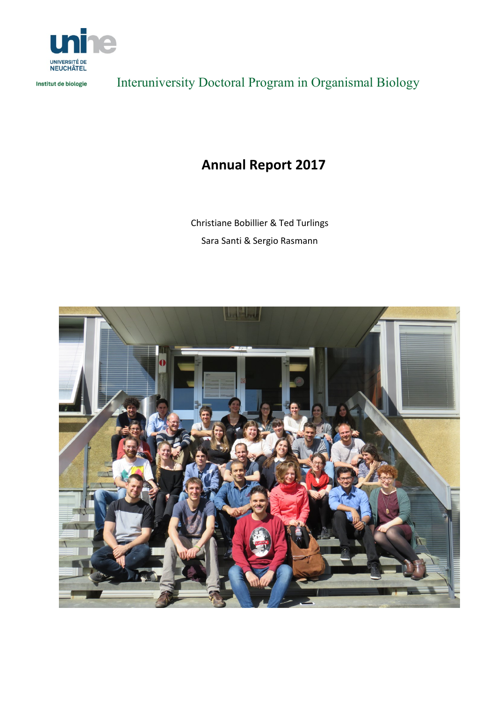

Institut de biologie

Interuniversity Doctoral Program in Organismal Biology

## **Annual Report 2017**

Christiane Bobillier & Ted Turlings Sara Santi & Sergio Rasmann

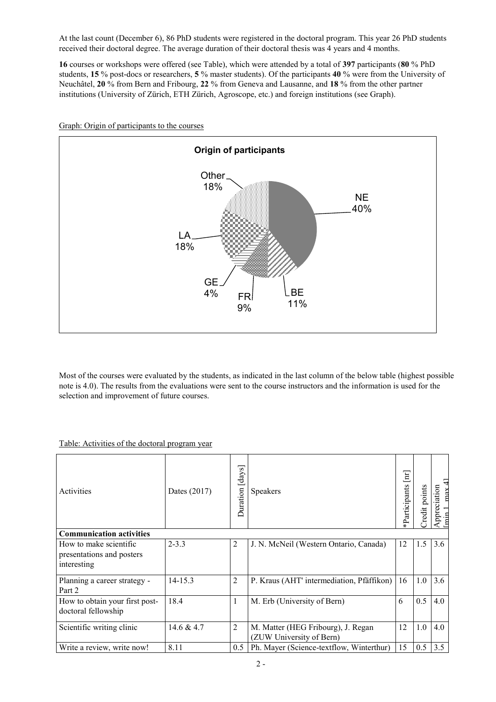At the last count (December 6), 86 PhD students were registered in the doctoral program. This year 26 PhD students received their doctoral degree. The average duration of their doctoral thesis was 4 years and 4 months.

**16** courses or workshops were offered (see Table), which were attended by a total of **397** participants (**80** % PhD students, **15** % post-docs or researchers, **5** % master students). Of the participants **40** % were from the University of Neuchâtel, **20** % from Bern and Fribourg, **22** % from Geneva and Lausanne, and **18** % from the other partner institutions (University of Zürich, ETH Zürich, Agroscope, etc.) and foreign institutions (see Graph).



Graph: Origin of participants to the courses

Most of the courses were evaluated by the students, as indicated in the last column of the below table (highest possible note is 4.0). The results from the evaluations were sent to the course instructors and the information is used for the selection and improvement of future courses.

## Table: Activities of the doctoral program year

| Activities                                                         | Dates (2017) | [days]<br>Duration | <b>Speakers</b>                                                | $[\mathbf{m}]$<br>Participants | redit points | ᡜ<br>Appreciation<br>max |
|--------------------------------------------------------------------|--------------|--------------------|----------------------------------------------------------------|--------------------------------|--------------|--------------------------|
| <b>Communication activities</b>                                    |              |                    |                                                                |                                |              |                          |
| How to make scientific<br>presentations and posters<br>interesting | $2 - 3.3$    | $\overline{2}$     | J. N. McNeil (Western Ontario, Canada)                         | 12                             | 1.5          | 3.6                      |
| Planning a career strategy -<br>Part 2                             | $14 - 15.3$  | $\overline{2}$     | P. Kraus (AHT' intermediation, Pfäffikon)                      | 16                             | 1.0          | 3.6                      |
| How to obtain your first post-<br>doctoral fellowship              | 18.4         | 1                  | M. Erb (University of Bern)                                    | 6                              | 0.5          | 4.0                      |
| Scientific writing clinic                                          | 14.6 & 4.7   | $\overline{2}$     | M. Matter (HEG Fribourg), J. Regan<br>(ZUW University of Bern) | 12                             | 1.0          | 4.0                      |
| Write a review, write now!                                         | 8.11         | $0.5^{\circ}$      | Ph. Mayer (Science-textflow, Winterthur)                       | 15                             | 0.5          | 3.5                      |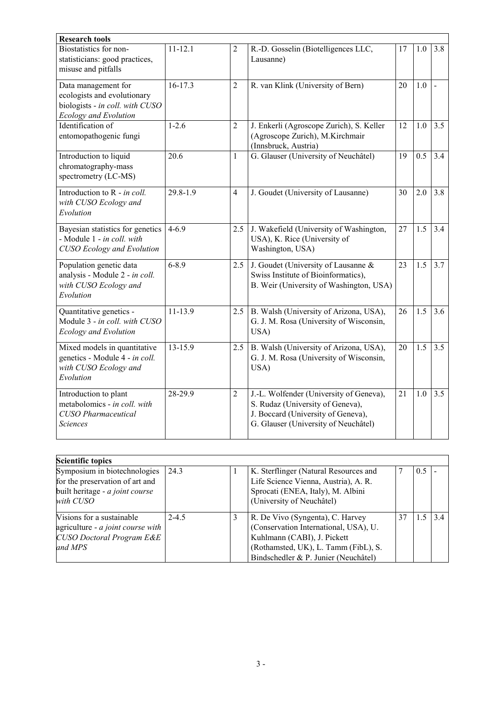| <b>Research tools</b>                                                                                                 |             |                |                                                                                                                                                           |    |     |                |
|-----------------------------------------------------------------------------------------------------------------------|-------------|----------------|-----------------------------------------------------------------------------------------------------------------------------------------------------------|----|-----|----------------|
| Biostatistics for non-<br>statisticians: good practices,<br>misuse and pitfalls                                       | $11 - 12.1$ | $\overline{2}$ | R.-D. Gosselin (Biotelligences LLC,<br>Lausanne)                                                                                                          | 17 | 1.0 | 3.8            |
| Data management for<br>ecologists and evolutionary<br>biologists - in coll. with CUSO<br><b>Ecology and Evolution</b> | $16 - 17.3$ | $\overline{2}$ | R. van Klink (University of Bern)                                                                                                                         | 20 | 1.0 | $\overline{a}$ |
| Identification of<br>entomopathogenic fungi                                                                           | $1 - 2.6$   | $\overline{2}$ | J. Enkerli (Agroscope Zurich), S. Keller<br>(Agroscope Zurich), M.Kirchmair<br>(Innsbruck, Austria)                                                       | 12 | 1.0 | 3.5            |
| Introduction to liquid<br>chromatography-mass<br>spectrometry (LC-MS)                                                 | 20.6        | $\mathbf{1}$   | G. Glauser (University of Neuchâtel)                                                                                                                      | 19 | 0.5 | 3.4            |
| Introduction to R - in coll.<br>with CUSO Ecology and<br>Evolution                                                    | 29.8-1.9    | $\overline{4}$ | J. Goudet (University of Lausanne)                                                                                                                        | 30 | 2.0 | 3.8            |
| Bayesian statistics for genetics<br>- Module 1 - in coll. with<br><b>CUSO</b> Ecology and Evolution                   | $4 - 6.9$   | 2.5            | J. Wakefield (University of Washington,<br>USA), K. Rice (University of<br>Washington, USA)                                                               | 27 | 1.5 | 3.4            |
| Population genetic data<br>analysis - Module 2 - in coll.<br>with CUSO Ecology and<br>Evolution                       | $6 - 8.9$   | 2.5            | J. Goudet (University of Lausanne &<br>Swiss Institute of Bioinformatics),<br>B. Weir (University of Washington, USA)                                     | 23 | 1.5 | 3.7            |
| Quantitative genetics -<br>Module 3 - in coll. with CUSO<br><b>Ecology and Evolution</b>                              | $11 - 13.9$ | 2.5            | B. Walsh (University of Arizona, USA),<br>G. J. M. Rosa (University of Wisconsin,<br>USA)                                                                 | 26 | 1.5 | 3.6            |
| Mixed models in quantitative<br>genetics - Module 4 - in coll.<br>with CUSO Ecology and<br>Evolution                  | 13-15.9     | 2.5            | B. Walsh (University of Arizona, USA),<br>G. J. M. Rosa (University of Wisconsin,<br>USA)                                                                 | 20 | 1.5 | 3.5            |
| Introduction to plant<br>metabolomics - in coll. with<br><b>CUSO</b> Pharmaceutical<br><b>Sciences</b>                | 28-29.9     | $\overline{2}$ | J.-L. Wolfender (University of Geneva),<br>S. Rudaz (University of Geneva),<br>J. Boccard (University of Geneva),<br>G. Glauser (University of Neuchâtel) | 21 | 1.0 | 3.5            |

| <b>Scientific topics</b>                                                                                        |           |                                                                                                                                                                                          |    |      |  |
|-----------------------------------------------------------------------------------------------------------------|-----------|------------------------------------------------------------------------------------------------------------------------------------------------------------------------------------------|----|------|--|
| Symposium in biotechnologies<br>for the preservation of art and<br>built heritage - a joint course<br>with CUSO | 24.3      | K. Sterflinger (Natural Resources and<br>Life Science Vienna, Austria), A. R.<br>Sprocati (ENEA, Italy), M. Albini<br>(University of Neuchâtel)                                          |    | 0.5  |  |
| Visions for a sustainable<br>agriculture - a joint course with<br>CUSO Doctoral Program E&E<br>and MPS          | $2 - 4.5$ | R. De Vivo (Syngenta), C. Harvey<br>(Conservation International, USA), U.<br>Kuhlmann (CABI), J. Pickett<br>(Rothamsted, UK), L. Tamm (FibL), S.<br>Bindschedler & P. Junier (Neuchâtel) | 37 | 1534 |  |